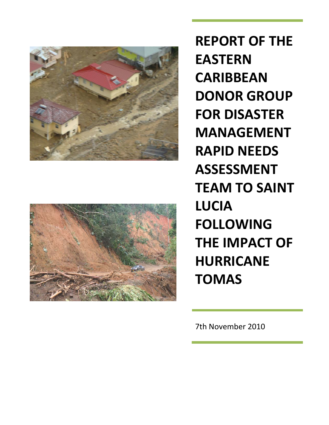



**REPORT OF THE EASTERN CARIBBEAN DONOR GROUP FOR DISASTER MANAGEMENT RAPID NEEDS ASSESSMENT TEAM TO SAINT LUCIA FOLLOWING THE IMPACT OF HURRICANE TOMAS**

7th November 2010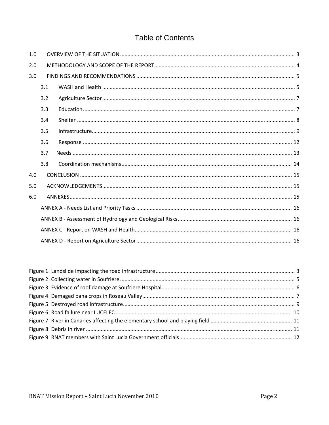# **Table of Contents**

| 1.0 |     |  |  |  |  |  |  |
|-----|-----|--|--|--|--|--|--|
| 2.0 |     |  |  |  |  |  |  |
| 3.0 |     |  |  |  |  |  |  |
|     | 3.1 |  |  |  |  |  |  |
|     | 3.2 |  |  |  |  |  |  |
|     | 3.3 |  |  |  |  |  |  |
|     | 3.4 |  |  |  |  |  |  |
|     | 3.5 |  |  |  |  |  |  |
|     | 3.6 |  |  |  |  |  |  |
|     | 3.7 |  |  |  |  |  |  |
|     | 3.8 |  |  |  |  |  |  |
| 4.0 |     |  |  |  |  |  |  |
| 5.0 |     |  |  |  |  |  |  |
| 6.0 |     |  |  |  |  |  |  |
|     |     |  |  |  |  |  |  |
|     |     |  |  |  |  |  |  |
|     |     |  |  |  |  |  |  |
|     |     |  |  |  |  |  |  |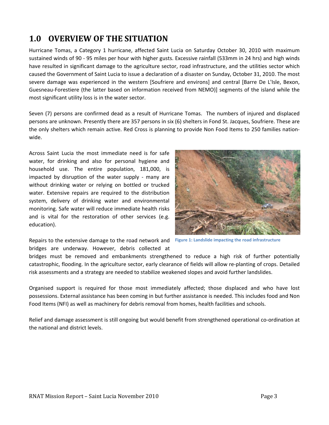# **1.0 OVERVIEW OF THE SITUATION**

Hurricane Tomas, a Category 1 hurricane, affected Saint Lucia on Saturday October 30, 2010 with maximum sustained winds of 90 ‐ 95 miles per hour with higher gusts. Excessive rainfall (533mm in 24 hrs) and high winds have resulted in significant damage to the agriculture sector, road infrastructure, and the utilities sector which caused the Government of Saint Lucia to issue a declaration of a disaster on Sunday, October 31, 2010. The most severe damage was experienced in the western [Soufriere and environs] and central [Barre De L'Isle, Bexon, Guesneau‐Forestiere (the latter based on information received from NEMO)] segments of the island while the most significant utility loss is in the water sector.

Seven (7) persons are confirmed dead as a result of Hurricane Tomas. The numbers of injured and displaced persons are unknown. Presently there are 357 persons in six (6) shelters in Fond St. Jacques, Soufriere. These are the only shelters which remain active. Red Cross is planning to provide Non Food Items to 250 families nation‐ wide.

Across Saint Lucia the most immediate need is for safe water, for drinking and also for personal hygiene and household use. The entire population, 181,000, is impacted by disruption of the water supply - many are without drinking water or relying on bottled or trucked water. Extensive repairs are required to the distribution system, delivery of drinking water and environmental monitoring. Safe water will reduce immediate health risks and is vital for the restoration of other services (e.g. education).



Repairs to the extensive damage to the road network and **Figure 1: Landslide impacting the road infrastructure**bridges are underway. However, debris collected at

bridges must be removed and embankments strengthened to reduce a high risk of further potentially catastrophic, flooding. In the agriculture sector, early clearance of fields will allow re‐planting of crops. Detailed risk assessments and a strategy are needed to stabilize weakened slopes and avoid further landslides.

Organised support is required for those most immediately affected; those displaced and who have lost possessions. External assistance has been coming in but further assistance is needed. This includes food and Non Food Items (NFI) as well as machinery for debris removal from homes, health facilities and schools.

Relief and damage assessment is still ongoing but would benefit from strengthened operational co-ordination at the national and district levels.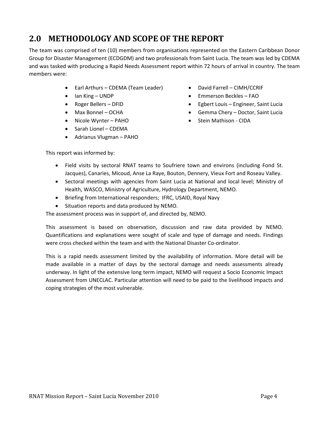# **2.0 METHODOLOGY AND SCOPE OF THE REPORT**

The team was comprised of ten (10) members from organisations represented on the Eastern Caribbean Donor Group for Disaster Management (ECDGDM) and two professionals from Saint Lucia. The team was led by CDEMA and was tasked with producing a Rapid Needs Assessment report within 72 hours of arrival in country. The team members were:

- Earl Arthurs CDEMA (Team Leader)
- Ian King UNDP
- Roger Bellers DFID
- Max Bonnel OCHA
- Nicole Wynter PAHO
- Sarah Lionel CDEMA
- Adrianus Vlugman PAHO
- David Farrell CIMH/CCRIF
- Emmerson Beckles FAO
- Egbert Louis Engineer, Saint Lucia
- Gemma Chery Doctor, Saint Lucia
- Stein Mathison CIDA

This report was informed by:

- Field visits by sectoral RNAT teams to Soufriere town and environs (including Fond St. Jacques), Canaries, Micoud, Anse La Raye, Bouton, Dennery, Vieux Fort and Roseau Valley.
- Sectoral meetings with agencies from Saint Lucia at National and local level; Ministry of Health, WASCO, Ministry of Agriculture, Hydrology Department, NEMO.
- Briefing from International responders; IFRC, USAID, Royal Navy
- Situation reports and data produced by NEMO.

The assessment process was in support of, and directed by, NEMO.

This assessment is based on observation, discussion and raw data provided by NEMO. Quantifications and explanations were sought of scale and type of damage and needs. Findings were cross checked within the team and with the National Disaster Co-ordinator.

This is a rapid needs assessment limited by the availability of information. More detail will be made available in a matter of days by the sectoral damage and needs assessments already underway. In light of the extensive long term impact, NEMO will request a Socio Economic Impact Assessment from UNECLAC. Particular attention will need to be paid to the livelihood impacts and coping strategies of the most vulnerable.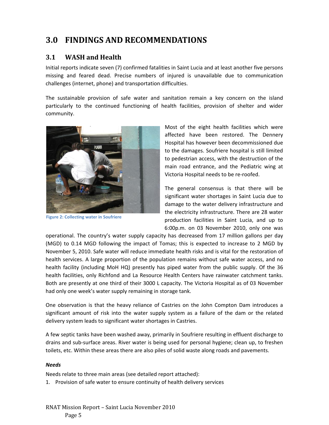# **3.0 FINDINGS AND RECOMMENDATIONS**

## **3.1 WASH and Health**

Initial reports indicate seven (7) confirmed fatalities in Saint Lucia and at least another five persons missing and feared dead. Precise numbers of injured is unavailable due to communication challenges (internet, phone) and transportation difficulties.

The sustainable provision of safe water and sanitation remain a key concern on the island particularly to the continued functioning of health facilities, provision of shelter and wider community.



**Figure 2: Collecting water in Soufriere**

Most of the eight health facilities which were affected have been restored. The Dennery Hospital has however been decommissioned due to the damages. Soufriere hospital is still limited to pedestrian access, with the destruction of the main road entrance, and the Pediatric wing at Victoria Hospital needs to be re‐roofed.

The general consensus is that there will be significant water shortages in Saint Lucia due to damage to the water delivery infrastructure and the electricity infrastructure. There are 28 water production facilities in Saint Lucia, and up to 6:00p.m. on 03 November 2010, only one was

operational. The country's water supply capacity has decreased from 17 million gallons per day (MGD) to 0.14 MGD following the impact of Tomas; this is expected to increase to 2 MGD by November 5, 2010. Safe water will reduce immediate health risks and is vital for the restoration of health services. A large proportion of the population remains without safe water access, and no health facility (including MoH HQ) presently has piped water from the public supply. Of the 36 health facilities, only Richfond and La Resource Health Centers have rainwater catchment tanks. Both are presently at one third of their 3000 L capacity. The Victoria Hospital as of 03 November had only one week's water supply remaining in storage tank.

One observation is that the heavy reliance of Castries on the John Compton Dam introduces a significant amount of risk into the water supply system as a failure of the dam or the related delivery system leads to significant water shortages in Castries.

A few septic tanks have been washed away, primarily in Soufriere resulting in effluent discharge to drains and sub‐surface areas. River water is being used for personal hygiene; clean up, to freshen toilets, etc. Within these areas there are also piles of solid waste along roads and pavements.

### *Needs*

Needs relate to three main areas (see detailed report attached):

1. Provision of safe water to ensure continuity of health delivery services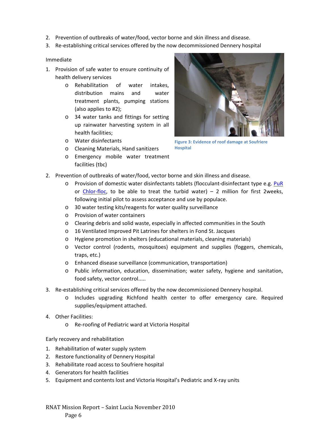- 2. Prevention of outbreaks of water/food, vector borne and skin illness and disease.
- 3. Re‐establishing critical services offered by the now decommissioned Dennery hospital

### Immediate

- 1. Provision of safe water to ensure continuity of health delivery services
	- o Rehabilitation of water intakes, distribution mains and water treatment plants, pumping stations (also applies to #2);
	- o 34 water tanks and fittings for setting up rainwater harvesting system in all health facilities;
	- o Water disinfectants
	- o Cleaning Materials, Hand sanitizers
	- o Emergency mobile water treatment facilities (tbc)



**Figure 3: Evidence of roof damage at Soufriere Hospital**

- 2. Prevention of outbreaks of water/food, vector borne and skin illness and disease.
	- o Provision of domestic water disinfectants tablets (flocculant‐disinfectant type e.g. PuR or Chlor-floc, to be able to treat the turbid water) – 2 million for first 2weeks, following initial pilot to assess acceptance and use by populace.
	- o 30 water testing kits/reagents for water quality surveillance
	- o Provision of water containers
	- o Clearing debris and solid waste, especially in affected communities in the South
	- o 16 Ventilated Improved Pit Latrines for shelters in Fond St. Jacques
	- o Hygiene promotion in shelters (educational materials, cleaning materials)
	- o Vector control (rodents, mosquitoes) equipment and supplies (foggers, chemicals, traps, etc.)
	- o Enhanced disease surveillance (communication, transportation)
	- o Public information, education, dissemination; water safety, hygiene and sanitation, food safety, vector control.....
- 3. Re-establishing critical services offered by the now decommissioned Dennery hospital.
	- o Includes upgrading Richfond health center to offer emergency care. Required supplies/equipment attached.
- 4. Other Facilities:
	- o Re‐roofing of Pediatric ward at Victoria Hospital

### Early recovery and rehabilitation

- 1. Rehabilitation of water supply system
- 2. Restore functionality of Dennery Hospital
- 3. Rehabilitate road access to Soufriere hospital
- 4. Generators for health facilities
- 5. Equipment and contents lost and Victoria Hospital's Pediatric and X-ray units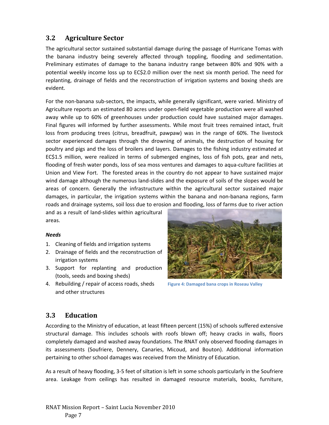## **3.2 Agriculture Sector**

The agricultural sector sustained substantial damage during the passage of Hurricane Tomas with the banana industry being severely affected through toppling, flooding and sedimentation. Preliminary estimates of damage to the banana industry range between 80% and 90% with a potential weekly income loss up to EC\$2.0 million over the next six month period. The need for replanting, drainage of fields and the reconstruction of irrigation systems and boxing sheds are evident.

For the non-banana sub-sectors, the impacts, while generally significant, were varied. Ministry of Agriculture reports an estimated 80 acres under open‐field vegetable production were all washed away while up to 60% of greenhouses under production could have sustained major damages. Final figures will informed by further assessments. While most fruit trees remained intact, fruit loss from producing trees (citrus, breadfruit, pawpaw) was in the range of 60%. The livestock sector experienced damages through the drowning of animals, the destruction of housing for poultry and pigs and the loss of broilers and layers. Damages to the fishing industry estimated at EC\$1.5 million, were realized in terms of submerged engines, loss of fish pots, gear and nets, flooding of fresh water ponds, loss of sea moss ventures and damages to aqua-culture facilities at Union and View Fort. The forested areas in the country do not appear to have sustained major wind damage although the numerous land‐slides and the exposure of soils of the slopes would be areas of concern. Generally the infrastructure within the agricultural sector sustained major damages, in particular, the irrigation systems within the banana and non‐banana regions, farm roads and drainage systems, soil loss due to erosion and flooding, loss of farms due to river action

and as a result of land‐slides within agricultural areas.

### *Needs*

- 1. Cleaning of fields and irrigation systems
- 2. Drainage of fields and the reconstruction of irrigation systems
- 3. Support for replanting and production (tools, seeds and boxing sheds)
- 4. Rebuilding / repair of access roads, sheds and other structures



**Figure 4: Damaged bana crops in Roseau Valley**

## **3.3 Education**

According to the Ministry of education, at least fifteen percent (15%) of schools suffered extensive structural damage. This includes schools with roofs blown off; heavy cracks in walls, floors completely damaged and washed away foundations. The RNAT only observed flooding damages in its assessments (Soufriere, Dennery, Canaries, Micoud, and Bouton). Additional information pertaining to other school damages was received from the Ministry of Education.

As a result of heavy flooding, 3‐5 feet of siltation is left in some schools particularly in the Soufriere area. Leakage from ceilings has resulted in damaged resource materials, books, furniture,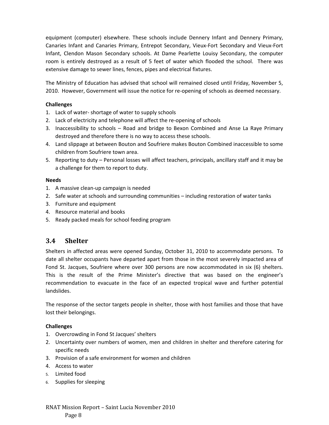equipment (computer) elsewhere. These schools include Dennery Infant and Dennery Primary, Canaries Infant and Canaries Primary, Entrepot Secondary, Vieux‐Fort Secondary and Vieux‐Fort Infant, Clendon Mason Secondary schools. At Dame Pearlette Louisy Secondary, the computer room is entirely destroyed as a result of 5 feet of water which flooded the school. There was extensive damage to sewer lines, fences, pipes and electrical fixtures.

The Ministry of Education has advised that school will remained closed until Friday, November 5, 2010. However, Government will issue the notice for re-opening of schools as deemed necessary.

### **Challenges**

- 1. Lack of water‐ shortage of water to supply schools
- 2. Lack of electricity and telephone will affect the re-opening of schools
- 3. Inaccessibility to schools Road and bridge to Bexon Combined and Anse La Raye Primary destroyed and therefore there is no way to access these schools.
- 4. Land slippage at between Bouton and Soufriere makes Bouton Combined inaccessible to some children from Soufriere town area.
- 5. Reporting to duty Personal losses will affect teachers, principals, ancillary staff and it may be a challenge for them to report to duty.

### **Needs**

- 1. A massive clean‐up campaign is needed
- 2. Safe water at schools and surrounding communities including restoration of water tanks
- 3. Furniture and equipment
- 4. Resource material and books
- 5. Ready packed meals for school feeding program

### **3.4 Shelter**

Shelters in affected areas were opened Sunday, October 31, 2010 to accommodate persons. To date all shelter occupants have departed apart from those in the most severely impacted area of Fond St. Jacques, Soufriere where over 300 persons are now accommodated in six (6) shelters. This is the result of the Prime Minister's directive that was based on the engineer's recommendation to evacuate in the face of an expected tropical wave and further potential landslides.

The response of the sector targets people in shelter, those with host families and those that have lost their belongings.

### **Challenges**

- 1. Overcrowding in Fond St Jacques' shelters
- 2. Uncertainty over numbers of women, men and children in shelter and therefore catering for specific needs
- 3. Provision of a safe environment for women and children
- 4. Access to water
- 5. Limited food
- 6. Supplies for sleeping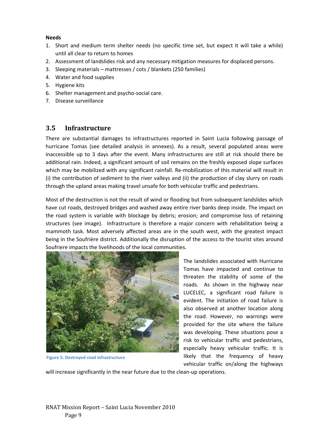### **Needs**

- 1. Short and medium term shelter needs (no specific time set, but expect it will take a while) until all clear to return to homes
- 2. Assessment of landslides risk and any necessary mitigation measures for displaced persons.
- 3. Sleeping materials mattresses / cots / blankets (250 families)
- 4. Water and food supplies
- 5. Hygiene kits
- 6. Shelter management and psycho‐social care.
- 7. Disease surveillance

## **3.5 Infrastructure**

There are substantial damages to infrastructures reported in Saint Lucia following passage of hurricane Tomas (see detailed analysis in annexes). As a result, several populated areas were inaccessible up to 3 days after the event. Many infrastructures are still at risk should there be additional rain. Indeed, a significant amount of soil remains on the freshly exposed slope surfaces which may be mobilized with any significant rainfall. Re-mobilization of this material will result in (i) the contribution of sediment to the river valleys and (ii) the production of clay slurry on roads through the upland areas making travel unsafe for both vehicular traffic and pedestrians.

Most of the destruction is not the result of wind or flooding but from subsequent landslides which have cut roads, destroyed bridges and washed away entire river banks deep inside. The impact on the road system is variable with blockage by debris; erosion; and compromise loss of retaining structures (see image). Infrastructure is therefore a major concern with rehabilitation being a mammoth task. Most adversely affected areas are in the south west, with the greatest impact being in the Soufrière district. Additionally the disruption of the access to the tourist sites around Soufriere impacts the livelihoods of the local communities.



**Figure 5: Destroyed road infrastructure**

The landslides associated with Hurricane Tomas have impacted and continue to threaten the stability of some of the roads. As shown in the highway near LUCELEC, a significant road failure is evident. The initiation of road failure is also observed at another location along the road. However, no warnings were provided for the site where the failure was developing. These situations pose a risk to vehicular traffic and pedestrians, especially heavy vehicular traffic. It is likely that the frequency of heavy vehicular traffic on/along the highways

will increase significantly in the near future due to the clean‐up operations.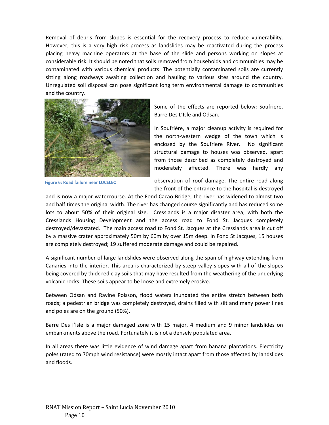Removal of debris from slopes is essential for the recovery process to reduce vulnerability. However, this is a very high risk process as landslides may be reactivated during the process placing heavy machine operators at the base of the slide and persons working on slopes at considerable risk. It should be noted that soils removed from households and communities may be contaminated with various chemical products. The potentially contaminated soils are currently sitting along roadways awaiting collection and hauling to various sites around the country. Unregulated soil disposal can pose significant long term environmental damage to communities and the country.



**Figure 6: Road failure near LUCELEC**

Some of the effects are reported below: Soufriere, Barre Des L'Isle and Odsan.

In Soufrière, a major cleanup activity is required for the north‐western wedge of the town which is enclosed by the Soufriere River. No significant structural damage to houses was observed, apart from those described as completely destroyed and moderately affected. There was hardly any

observation of roof damage. The entire road along the front of the entrance to the hospital is destroyed

and is now a major watercourse. At the Fond Cacao Bridge, the river has widened to almost two and half times the original width. The river has changed course significantly and has reduced some lots to about 50% of their original size. Cresslands is a major disaster area; with both the Cresslands Housing Development and the access road to Fond St. Jacques completely destroyed/devastated. The main access road to Fond St. Jacques at the Cresslands area is cut off by a massive crater approximately 50m by 60m by over 15m deep. In Fond St Jacques, 15 houses are completely destroyed; 19 suffered moderate damage and could be repaired.

A significant number of large landslides were observed along the span of highway extending from Canaries into the interior. This area is characterized by steep valley slopes with all of the slopes being covered by thick red clay soils that may have resulted from the weathering of the underlying volcanic rocks. These soils appear to be loose and extremely erosive.

Between Odsan and Ravine Poisson, flood waters inundated the entire stretch between both roads; a pedestrian bridge was completely destroyed, drains filled with silt and many power lines and poles are on the ground (50%).

Barre Des I'Isle is a major damaged zone with 15 major, 4 medium and 9 minor landslides on embankments above the road. Fortunately it is not a densely populated area.

In all areas there was little evidence of wind damage apart from banana plantations. Electricity poles (rated to 70mph wind resistance) were mostly intact apart from those affected by landslides and floods.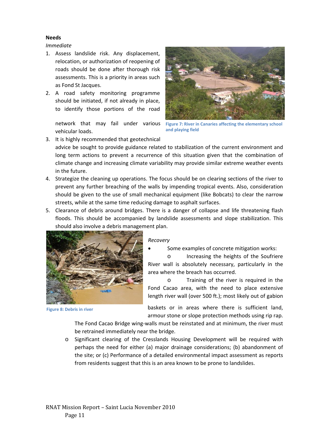### **Needs**

*Immediate*

- 1. Assess landslide risk. Any displacement, relocation, or authorization of reopening of roads should be done after thorough risk assessments. This is a priority in areas such as Fond St Jacques.
- 2. A road safety monitoring programme should be initiated, if not already in place, to identify those portions of the road

vehicular loads.



network that may fail under various **Figure 7: River in Canaries affecting the elementary school and playing field**

3. It is highly recommended that geotechnical

advice be sought to provide guidance related to stabilization of the current environment and long term actions to prevent a recurrence of this situation given that the combination of climate change and increasing climate variability may provide similar extreme weather events in the future.

- 4. Strategize the cleaning up operations. The focus should be on clearing sections of the river to prevent any further breaching of the walls by impending tropical events. Also, consideration should be given to the use of small mechanical equipment (like Bobcats) to clear the narrow streets, while at the same time reducing damage to asphalt surfaces.
- 5. Clearance of debris around bridges. There is a danger of collapse and life threatening flash floods. This should be accompanied by landslide assessments and slope stabilization. This should also involve a debris management plan.



**Figure 8: Debris in river**

#### *Recovery*

Some examples of concrete mitigation works:

o Increasing the heights of the Soufriere River wall is absolutely necessary, particularly in the area where the breach has occurred.

o Training of the river is required in the Fond Cacao area, with the need to place extensive length river wall (over 500 ft.); most likely out of gabion

baskets or in areas where there is sufficient land, armour stone or slope protection methods using rip rap.

The Fond Cacao Bridge wing‐walls must be reinstated and at minimum, the river must be retrained immediately near the bridge.

o Significant clearing of the Cresslands Housing Development will be required with perhaps the need for either (a) major drainage considerations; (b) abandonment of the site; or (c) Performance of a detailed environmental impact assessment as reports from residents suggest that this is an area known to be prone to landslides.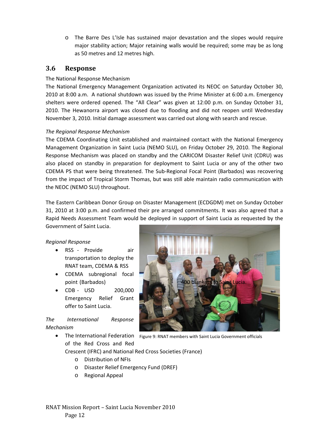o The Barre Des L'Isle has sustained major devastation and the slopes would require major stability action; Major retaining walls would be required; some may be as long as 50 metres and 12 metres high.

## **3.6 Response**

### The National Response Mechanism

The National Emergency Management Organization activated its NEOC on Saturday October 30, 2010 at 8:00 a.m. A national shutdown was issued by the Prime Minister at 6:00 a.m. Emergency shelters were ordered opened. The "All Clear" was given at 12:00 p.m. on Sunday October 31, 2010. The Hewanorra airport was closed due to flooding and did not reopen until Wednesday November 3, 2010. Initial damage assessment was carried out along with search and rescue.

### *The Regional Response Mechanism*

The CDEMA Coordinating Unit established and maintained contact with the National Emergency Management Organization in Saint Lucia (NEMO SLU), on Friday October 29, 2010. The Regional Response Mechanism was placed on standby and the CARICOM Disaster Relief Unit (CDRU) was also placed on standby in preparation for deployment to Saint Lucia or any of the other two CDEMA PS that were being threatened. The Sub‐Regional Focal Point (Barbados) was recovering from the impact of Tropical Storm Thomas, but was still able maintain radio communication with the NEOC (NEMO SLU) throughout.

The Eastern Caribbean Donor Group on Disaster Management (ECDGDM) met on Sunday October 31, 2010 at 3:00 p.m. and confirmed their pre arranged commitments. It was also agreed that a Rapid Needs Assessment Team would be deployed in support of Saint Lucia as requested by the Government of Saint Lucia.

### *Regional Response*

- RSS Provide air transportation to deploy the RNAT team, CDEMA & RSS
- CDEMA subregional focal
- CDB USD 200,000 Emergency Relief Grant offer to Saint Lucia.

### *The International Response Mechanism*

- The International Federation Figure 9: RNAT members with Saint Lucia Government officials of the Red Cross and Red
	- Crescent (IFRC) and National Red Cross Societies (France)
		- o Distribution of NFIs
		- o Disaster Relief Emergency Fund (DREF)
		- o Regional Appeal

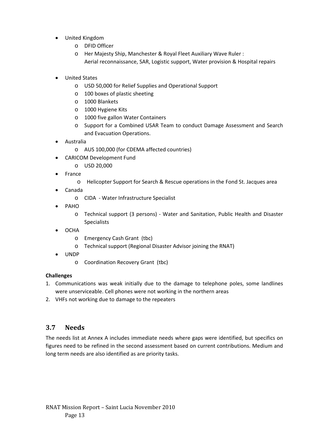- United Kingdom
	- o DFID Officer
	- o Her Majesty Ship, Manchester & Royal Fleet Auxiliary Wave Ruler : Aerial reconnaissance, SAR, Logistic support, Water provision & Hospital repairs
- United States
	- o USD 50,000 for Relief Supplies and Operational Support
	- o 100 boxes of plastic sheeting
	- o 1000 Blankets
	- o 1000 Hygiene Kits
	- o 1000 five gallon Water Containers
	- o Support for a Combined USAR Team to conduct Damage Assessment and Search and Evacuation Operations.
- Australia
	- o AUS 100,000 (for CDEMA affected countries)
	- CARICOM Development Fund
		- o USD 20,000
- France
	- o Helicopter Support for Search & Rescue operations in the Fond St. Jacques area
- Canada
	- o CIDA ‐ Water Infrastructure Specialist
- PAHO
	- o Technical support (3 persons) ‐ Water and Sanitation, Public Health and Disaster Specialists
- OCHA
	- o Emergency Cash Grant (tbc)
	- o Technical support (Regional Disaster Advisor joining the RNAT)
- UNDP
	- o Coordination Recovery Grant (tbc)

### **Challenges**

- 1. Communications was weak initially due to the damage to telephone poles, some landlines were unserviceable. Cell phones were not working in the northern areas
- 2. VHFs not working due to damage to the repeaters

## **3.7 Needs**

The needs list at Annex A includes immediate needs where gaps were identified, but specifics on figures need to be refined in the second assessment based on current contributions. Medium and long term needs are also identified as are priority tasks.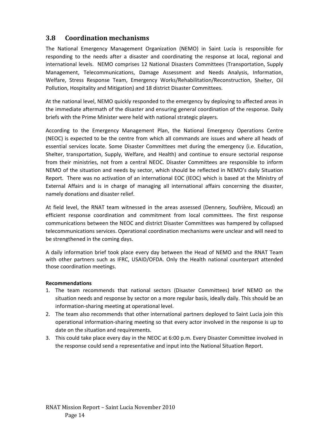## **3.8 Coordination mechanisms**

The National Emergency Management Organization (NEMO) in Saint Lucia is responsible for responding to the needs after a disaster and coordinating the response at local, regional and international levels. NEMO comprises 12 National Disasters Committees (Transportation, Supply Management, Telecommunications, Damage Assessment and Needs Analysis, Information, Welfare, Stress Response Team, Emergency Works/Rehabilitation/Reconstruction, Shelter, Oil Pollution, Hospitality and Mitigation) and 18 district Disaster Committees.

At the national level, NEMO quickly responded to the emergency by deploying to affected areas in the immediate aftermath of the disaster and ensuring general coordination of the response. Daily briefs with the Prime Minister were held with national strategic players.

According to the Emergency Management Plan, the National Emergency Operations Centre (NEOC) is expected to be the centre from which all commands are issues and where all heads of essential services locate. Some Disaster Committees met during the emergency (i.e. Education, Shelter, transportation, Supply, Welfare, and Health) and continue to ensure sectorial response from their ministries, not from a central NEOC. Disaster Committees are responsible to inform NEMO of the situation and needs by sector, which should be reflected in NEMO's daily Situation Report. There was no activation of an international EOC (IEOC) which is based at the Ministry of External Affairs and is in charge of managing all international affairs concerning the disaster, namely donations and disaster relief.

At field level, the RNAT team witnessed in the areas assessed (Dennery, Soufrière, Micoud) an efficient response coordination and commitment from local committees. The first response communications between the NEOC and district Disaster Committees was hampered by collapsed telecommunications services. Operational coordination mechanisms were unclear and will need to be strengthened in the coming days.

A daily information brief took place every day between the Head of NEMO and the RNAT Team with other partners such as IFRC, USAID/OFDA. Only the Health national counterpart attended those coordination meetings.

### **Recommendations**

- 1. The team recommends that national sectors (Disaster Committees) brief NEMO on the situation needs and response by sector on a more regular basis, ideally daily. This should be an information‐sharing meeting at operational level.
- 2. The team also recommends that other international partners deployed to Saint Lucia join this operational information‐sharing meeting so that every actor involved in the response is up to date on the situation and requirements.
- 3. This could take place every day in the NEOC at 6:00 p.m. Every Disaster Committee involved in the response could send a representative and input into the National Situation Report.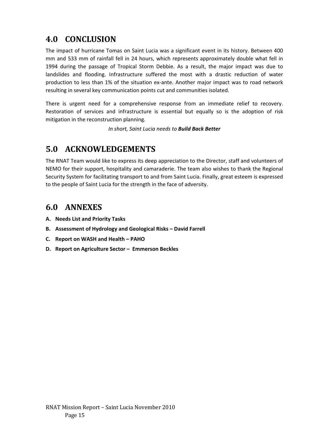# **4.0 CONCLUSION**

The impact of hurricane Tomas on Saint Lucia was a significant event in its history. Between 400 mm and 533 mm of rainfall fell in 24 hours, which represents approximately double what fell in 1994 during the passage of Tropical Storm Debbie. As a result, the major impact was due to landslides and flooding. Infrastructure suffered the most with a drastic reduction of water production to less than 1% of the situation ex‐ante. Another major impact was to road network resulting in several key communication points cut and communities isolated.

There is urgent need for a comprehensive response from an immediate relief to recovery. Restoration of services and infrastructure is essential but equally so is the adoption of risk mitigation in the reconstruction planning.

*In short, Saint Lucia needs to Build Back Better*

# **5.0 ACKNOWLEDGEMENTS**

The RNAT Team would like to express its deep appreciation to the Director, staff and volunteers of NEMO for their support, hospitality and camaraderie. The team also wishes to thank the Regional Security System for facilitating transport to and from Saint Lucia. Finally, great esteem is expressed to the people of Saint Lucia for the strength in the face of adversity.

# **6.0 ANNEXES**

- **A. Needs List and Priority Tasks**
- **B. Assessment of Hydrology and Geological Risks – David Farrell**
- **C. Report on WASH and Health – PAHO**
- **D. Report on Agriculture Sector – Emmerson Beckles**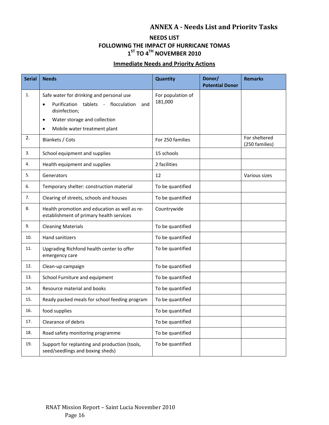## **ANNEX A Needs List and Priority Tasks**

### **NEEDS LIST FOLLOWING THE IMPACT OF HURRICANE TOMAS 1ST TO 4TH NOVEMBER 2010**

## **Immediate Needs and Priority Actions**

| <b>Serial</b> | <b>Needs</b>                                                                              | Quantity          | Donor/<br><b>Potential Donor</b> | <b>Remarks</b>                  |
|---------------|-------------------------------------------------------------------------------------------|-------------------|----------------------------------|---------------------------------|
| 1.            | Safe water for drinking and personal use                                                  | For population of |                                  |                                 |
|               | Purification tablets - flocculation<br>and<br>$\bullet$<br>disinfection;                  | 181,000           |                                  |                                 |
|               | Water storage and collection<br>$\bullet$                                                 |                   |                                  |                                 |
|               | Mobile water treatment plant<br>$\bullet$                                                 |                   |                                  |                                 |
| 2.            | Blankets / Cots                                                                           | For 250 families  |                                  | For sheltered<br>(250 families) |
| 3.            | School equipment and supplies                                                             | 15 schools        |                                  |                                 |
| 4.            | Health equipment and supplies                                                             | 2 facilities      |                                  |                                 |
| 5.            | Generators                                                                                | 12                |                                  | Various sizes                   |
| 6.            | Temporary shelter: construction material                                                  | To be quantified  |                                  |                                 |
| 7.            | Clearing of streets, schools and houses                                                   | To be quantified  |                                  |                                 |
| 8.            | Health promotion and education as well as re-<br>establishment of primary health services | Countrywide       |                                  |                                 |
| 9.            | <b>Cleaning Materials</b>                                                                 | To be quantified  |                                  |                                 |
| 10.           | Hand sanitizers                                                                           | To be quantified  |                                  |                                 |
| 11.           | Upgrading Richfond health center to offer<br>emergency care                               | To be quantified  |                                  |                                 |
| 12.           | Clean-up campaign                                                                         | To be quantified  |                                  |                                 |
| 13.           | School Furniture and equipment                                                            | To be quantified  |                                  |                                 |
| 14.           | Resource material and books                                                               | To be quantified  |                                  |                                 |
| 15.           | Ready packed meals for school feeding program                                             | To be quantified  |                                  |                                 |
| 16.           | food supplies                                                                             | To be quantified  |                                  |                                 |
| 17.           | Clearance of debris                                                                       | To be quantified  |                                  |                                 |
| 18.           | Road safety monitoring programme                                                          | To be quantified  |                                  |                                 |
| 19.           | Support for replanting and production (tools,<br>seed/seedlings and boxing sheds)         | To be quantified  |                                  |                                 |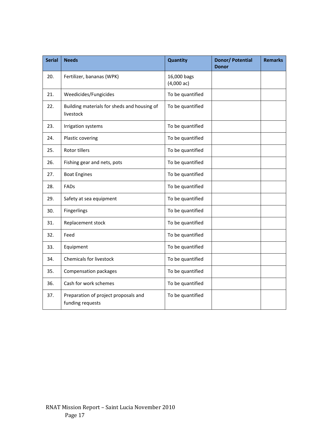| <b>Serial</b> | <b>Needs</b>                                             | <b>Quantity</b>                     | <b>Donor/ Potential</b><br><b>Donor</b> | <b>Remarks</b> |
|---------------|----------------------------------------------------------|-------------------------------------|-----------------------------------------|----------------|
| 20.           | Fertilizer, bananas (WPK)                                | 16,000 bags<br>$(4,000 \text{ ac})$ |                                         |                |
| 21.           | Weedicides/Fungicides                                    | To be quantified                    |                                         |                |
| 22.           | Building materials for sheds and housing of<br>livestock | To be quantified                    |                                         |                |
| 23.           | Irrigation systems                                       | To be quantified                    |                                         |                |
| 24.           | Plastic covering                                         | To be quantified                    |                                         |                |
| 25.           | Rotor tillers                                            | To be quantified                    |                                         |                |
| 26.           | Fishing gear and nets, pots                              | To be quantified                    |                                         |                |
| 27.           | <b>Boat Engines</b>                                      | To be quantified                    |                                         |                |
| 28.           | FADs                                                     | To be quantified                    |                                         |                |
| 29.           | Safety at sea equipment                                  | To be quantified                    |                                         |                |
| 30.           | Fingerlings                                              | To be quantified                    |                                         |                |
| 31.           | Replacement stock                                        | To be quantified                    |                                         |                |
| 32.           | Feed                                                     | To be quantified                    |                                         |                |
| 33.           | Equipment                                                | To be quantified                    |                                         |                |
| 34.           | Chemicals for livestock                                  | To be quantified                    |                                         |                |
| 35.           | Compensation packages                                    | To be quantified                    |                                         |                |
| 36.           | Cash for work schemes                                    | To be quantified                    |                                         |                |
| 37.           | Preparation of project proposals and<br>funding requests | To be quantified                    |                                         |                |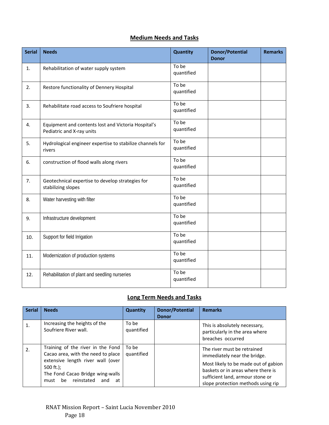## **Medium Needs and Tasks**

| <b>Serial</b> | <b>Needs</b>                                                                     | Quantity            | <b>Donor/Potential</b><br><b>Donor</b> | <b>Remarks</b> |
|---------------|----------------------------------------------------------------------------------|---------------------|----------------------------------------|----------------|
| 1.            | Rehabilitation of water supply system                                            | To be<br>quantified |                                        |                |
| 2.            | Restore functionality of Dennery Hospital                                        | To be<br>quantified |                                        |                |
| 3.            | Rehabilitate road access to Soufriere hospital                                   | To be<br>quantified |                                        |                |
| 4.            | Equipment and contents lost and Victoria Hospital's<br>Pediatric and X-ray units | To be<br>quantified |                                        |                |
| 5.            | Hydrological engineer expertise to stabilize channels for<br>rivers              | To be<br>quantified |                                        |                |
| 6.            | construction of flood walls along rivers                                         | To be<br>quantified |                                        |                |
| 7.            | Geotechnical expertise to develop strategies for<br>stabilizing slopes           | To be<br>quantified |                                        |                |
| 8.            | Water harvesting with filter                                                     | To be<br>quantified |                                        |                |
| 9.            | Infrastructure development                                                       | To be<br>quantified |                                        |                |
| 10.           | Support for field Irrigation                                                     | To be<br>quantified |                                        |                |
| 11.           | Modernization of production systems                                              | To be<br>quantified |                                        |                |
| 12.           | Rehabilitation of plant and seedling nurseries                                   | To be<br>quantified |                                        |                |

## **Long Term Needs and Tasks**

| <b>Serial</b> | <b>Needs</b>                                                                                                                                                                                              | <b>Quantity</b>     | Donor/Potential<br><b>Donor</b> | <b>Remarks</b>                                                                                                                                                                                                      |
|---------------|-----------------------------------------------------------------------------------------------------------------------------------------------------------------------------------------------------------|---------------------|---------------------------------|---------------------------------------------------------------------------------------------------------------------------------------------------------------------------------------------------------------------|
| $\mathbf{1}$  | Increasing the heights of the<br>Soufriere River wall.                                                                                                                                                    | To be<br>quantified |                                 | This is absolutely necessary,<br>particularly in the area where<br>breaches occurred                                                                                                                                |
| 2.            | Training of the river in the Fond<br>Cacao area, with the need to place<br>extensive length river wall (over<br>500 $ft.$ );<br>The Fond Cacao Bridge wing-walls<br>reinstated<br>be<br>at<br>must<br>and | To be<br>quantified |                                 | The river must be retrained<br>immediately near the bridge.<br>Most likely to be made out of gabion<br>baskets or in areas where there is<br>sufficient land, armour stone or<br>slope protection methods using rip |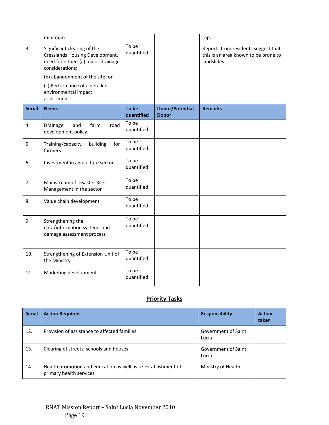|               | minimum                                                                                                                                                                                                                             |                     |                                        | rap.                                                                                       |
|---------------|-------------------------------------------------------------------------------------------------------------------------------------------------------------------------------------------------------------------------------------|---------------------|----------------------------------------|--------------------------------------------------------------------------------------------|
| 3.            | Significant clearing of the<br>Cresslands Housing Development.<br>need for either: (a) major drainage<br>considerations;<br>(b) abandonment of the site; or<br>(c) Performance of a detailed<br>environmental impact<br>assessment. | To be<br>quantified |                                        | Reports from residents suggest that<br>this is an area known to be prone to<br>landslides. |
| <b>Serial</b> | <b>Needs</b>                                                                                                                                                                                                                        | To be<br>quantified | <b>Donor/Potential</b><br><b>Donor</b> | <b>Remarks</b>                                                                             |
| 4.            | road<br>and<br>farm<br>Drainage<br>development policy                                                                                                                                                                               | To be<br>quantified |                                        |                                                                                            |
| 5.            | Training/capacity<br>building<br>for<br>farmers                                                                                                                                                                                     | To be<br>quantified |                                        |                                                                                            |
| 6.            | Investment in agriculture sector                                                                                                                                                                                                    | To be<br>quantified |                                        |                                                                                            |
| 7.            | Mainstream of Disaster Risk<br>Management in the sector                                                                                                                                                                             | To be<br>quantified |                                        |                                                                                            |
| 8.            | Value chain development                                                                                                                                                                                                             | To be<br>quantified |                                        |                                                                                            |
| 9.            | Strengthening the<br>data/information systems and<br>damage assessment process                                                                                                                                                      | To be<br>quantified |                                        |                                                                                            |
| 10.           | Strengthening of Extension Unit of<br>the Ministry                                                                                                                                                                                  | To be<br>quantified |                                        |                                                                                            |
| 11.           | Marketing development                                                                                                                                                                                                               | To be<br>quantified |                                        |                                                                                            |

## **Priority Tasks**

| <b>Serial</b> | <b>Action Required</b>                                                                   | <b>Responsibility</b>        | <b>Action</b><br>taken |
|---------------|------------------------------------------------------------------------------------------|------------------------------|------------------------|
| 12.           | Provision of assistance to affected families                                             | Government of Saint<br>Lucia |                        |
| 13.           | Clearing of streets, schools and houses                                                  | Government of Saint<br>Lucia |                        |
| 14.           | Health promotion and education as well as re-establishment of<br>primary health services | Ministry of Health           |                        |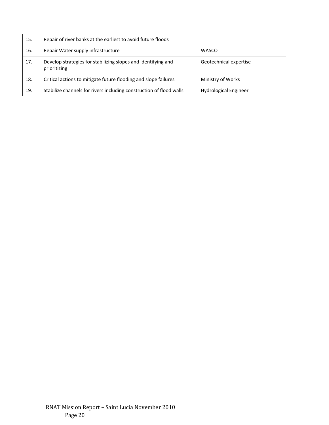| 15. | Repair of river banks at the earliest to avoid future floods                  |                              |  |
|-----|-------------------------------------------------------------------------------|------------------------------|--|
| 16. | Repair Water supply infrastructure                                            | <b>WASCO</b>                 |  |
| 17. | Develop strategies for stabilizing slopes and identifying and<br>prioritizing | Geotechnical expertise       |  |
| 18. | Critical actions to mitigate future flooding and slope failures               | Ministry of Works            |  |
| 19. | Stabilize channels for rivers including construction of flood walls           | <b>Hydrological Engineer</b> |  |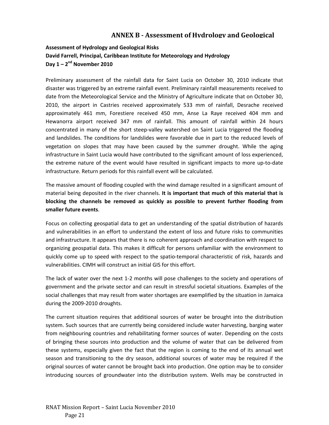## **ANNEX B Assessment of Hydrology and Geological**

## **Assessment of Hydrology and Geological Risks David Farrell, Principal, Caribbean Institute for Meteorology and Hydrology Day 1 – 2nd November 2010**

Preliminary assessment of the rainfall data for Saint Lucia on October 30, 2010 indicate that disaster was triggered by an extreme rainfall event. Preliminary rainfall measurements received to date from the Meteorological Service and the Ministry of Agriculture indicate that on October 30, 2010, the airport in Castries received approximately 533 mm of rainfall, Desrache received approximately 461 mm, Forestiere received 450 mm, Anse La Raye received 404 mm and Hewanorra airport received 347 mm of rainfall. This amount of rainfall within 24 hours concentrated in many of the short steep-valley watershed on Saint Lucia triggered the flooding and landslides. The conditions for landslides were favorable due in part to the reduced levels of vegetation on slopes that may have been caused by the summer drought. While the aging infrastructure in Saint Lucia would have contributed to the significant amount of loss experienced, the extreme nature of the event would have resulted in significant impacts to more up-to-date infrastructure. Return periods for this rainfall event will be calculated.

The massive amount of flooding coupled with the wind damage resulted in a significant amount of material being deposited in the river channels. **It is important that much of this material that is blocking the channels be removed as quickly as possible to prevent further flooding from smaller future events**.

Focus on collecting geospatial data to get an understanding of the spatial distribution of hazards and vulnerabilities in an effort to understand the extent of loss and future risks to communities and infrastructure. It appears that there is no coherent approach and coordination with respect to organizing geospatial data. This makes it difficult for persons unfamiliar with the environment to quickly come up to speed with respect to the spatio-temporal characteristic of risk, hazards and vulnerabilities. CIMH will construct an initial GIS for this effort.

The lack of water over the next 1‐2 months will pose challenges to the society and operations of government and the private sector and can result in stressful societal situations. Examples of the social challenges that may result from water shortages are exemplified by the situation in Jamaica during the 2009‐2010 droughts.

The current situation requires that additional sources of water be brought into the distribution system. Such sources that are currently being considered include water harvesting, barging water from neighbouring countries and rehabilitating former sources of water. Depending on the costs of bringing these sources into production and the volume of water that can be delivered from these systems, especially given the fact that the region is coming to the end of its annual wet season and transitioning to the dry season, additional sources of water may be required if the original sources of water cannot be brought back into production. One option may be to consider introducing sources of groundwater into the distribution system. Wells may be constructed in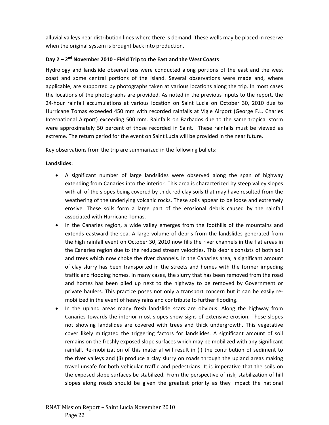alluvial valleys near distribution lines where there is demand. These wells may be placed in reserve when the original system is brought back into production.

### **Day 2 – 2nd November 2010 ‐ Field Trip to the East and the West Coasts**

Hydrology and landslide observations were conducted along portions of the east and the west coast and some central portions of the island. Several observations were made and, where applicable, are supported by photographs taken at various locations along the trip. In most cases the locations of the photographs are provided. As noted in the previous inputs to the report, the 24‐hour rainfall accumulations at various location on Saint Lucia on October 30, 2010 due to Hurricane Tomas exceeded 450 mm with recorded rainfalls at Vigie Airport (George F.L. Charles International Airport) exceeding 500 mm. Rainfalls on Barbados due to the same tropical storm were approximately 50 percent of those recorded in Saint. These rainfalls must be viewed as extreme. The return period for the event on Saint Lucia will be provided in the near future.

Key observations from the trip are summarized in the following bullets:

### **Landslides:**

- A significant number of large landslides were observed along the span of highway extending from Canaries into the interior. This area is characterized by steep valley slopes with all of the slopes being covered by thick red clay soils that may have resulted from the weathering of the underlying volcanic rocks. These soils appear to be loose and extremely erosive. These soils form a large part of the erosional debris caused by the rainfall associated with Hurricane Tomas.
- In the Canaries region, a wide valley emerges from the foothills of the mountains and extends eastward the sea. A large volume of debris from the landslides generated from the high rainfall event on October 30, 2010 now fills the river channels in the flat areas in the Canaries region due to the reduced stream velocities. This debris consists of both soil and trees which now choke the river channels. In the Canaries area, a significant amount of clay slurry has been transported in the streets and homes with the former impeding traffic and flooding homes. In many cases, the slurry that has been removed from the road and homes has been piled up next to the highway to be removed by Government or private haulers. This practice poses not only a transport concern but it can be easily re‐ mobilized in the event of heavy rains and contribute to further flooding.
- In the upland areas many fresh landslide scars are obvious. Along the highway from Canaries towards the interior most slopes show signs of extensive erosion. Those slopes not showing landslides are covered with trees and thick undergrowth. This vegetative cover likely mitigated the triggering factors for landslides. A significant amount of soil remains on the freshly exposed slope surfaces which may be mobilized with any significant rainfall. Re‐mobilization of this material will result in (i) the contribution of sediment to the river valleys and (ii) produce a clay slurry on roads through the upland areas making travel unsafe for both vehicular traffic and pedestrians. It is imperative that the soils on the exposed slope surfaces be stabilized. From the perspective of risk, stabilization of hill slopes along roads should be given the greatest priority as they impact the national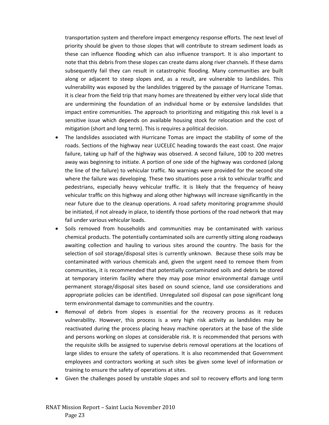transportation system and therefore impact emergency response efforts. The next level of priority should be given to those slopes that will contribute to stream sediment loads as these can influence flooding which can also influence transport. It is also important to note that this debris from these slopes can create dams along river channels. If these dams subsequently fail they can result in catastrophic flooding. Many communities are built along or adjacent to steep slopes and, as a result, are vulnerable to landslides. This vulnerability was exposed by the landslides triggered by the passage of Hurricane Tomas. It is clear from the field trip that many homes are threatened by either very local slide that are undermining the foundation of an individual home or by extensive landslides that impact entire communities. The approach to prioritizing and mitigating this risk level is a sensitive issue which depends on available housing stock for relocation and the cost of mitigation (short and long term). This is requires a political decision.

- The landslides associated with Hurricane Tomas are impact the stability of some of the roads. Sections of the highway near LUCELEC heading towards the east coast. One major failure, taking up half of the highway was observed. A second failure, 100 to 200 metres away was beginning to initiate. A portion of one side of the highway was cordoned (along the line of the failure) to vehicular traffic. No warnings were provided for the second site where the failure was developing. These two situations pose a risk to vehicular traffic and pedestrians, especially heavy vehicular traffic. It is likely that the frequency of heavy vehicular traffic on this highway and along other highways will increase significantly in the near future due to the cleanup operations. A road safety monitoring programme should be initiated, if not already in place, to identify those portions of the road network that may fail under various vehicular loads.
- Soils removed from households and communities may be contaminated with various chemical products. The potentially contaminated soils are currently sitting along roadways awaiting collection and hauling to various sites around the country. The basis for the selection of soil storage/disposal sites is currently unknown. Because these soils may be contaminated with various chemicals and, given the urgent need to remove them from communities, it is recommended that potentially contaminated soils and debris be stored at temporary interim facility where they may pose minor environmental damage until permanent storage/disposal sites based on sound science, land use considerations and appropriate policies can be identified. Unregulated soil disposal can pose significant long term environmental damage to communities and the country.
- Removal of debris from slopes is essential for the recovery process as it reduces vulnerability. However, this process is a very high risk activity as landslides may be reactivated during the process placing heavy machine operators at the base of the slide and persons working on slopes at considerable risk. It is recommended that persons with the requisite skills be assigned to supervise debris removal operations at the locations of large slides to ensure the safety of operations. It is also recommended that Government employees and contractors working at such sites be given some level of information or training to ensure the safety of operations at sites.
- Given the challenges posed by unstable slopes and soil to recovery efforts and long term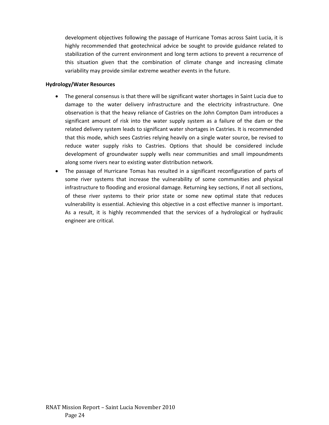development objectives following the passage of Hurricane Tomas across Saint Lucia, it is highly recommended that geotechnical advice be sought to provide guidance related to stabilization of the current environment and long term actions to prevent a recurrence of this situation given that the combination of climate change and increasing climate variability may provide similar extreme weather events in the future.

### **Hydrology/Water Resources**

- The general consensus is that there will be significant water shortages in Saint Lucia due to damage to the water delivery infrastructure and the electricity infrastructure. One observation is that the heavy reliance of Castries on the John Compton Dam introduces a significant amount of risk into the water supply system as a failure of the dam or the related delivery system leads to significant water shortages in Castries. It is recommended that this mode, which sees Castries relying heavily on a single water source, be revised to reduce water supply risks to Castries. Options that should be considered include development of groundwater supply wells near communities and small impoundments along some rivers near to existing water distribution network.
- The passage of Hurricane Tomas has resulted in a significant reconfiguration of parts of some river systems that increase the vulnerability of some communities and physical infrastructure to flooding and erosional damage. Returning key sections, if not all sections, of these river systems to their prior state or some new optimal state that reduces vulnerability is essential. Achieving this objective in a cost effective manner is important. As a result, it is highly recommended that the services of a hydrological or hydraulic engineer are critical.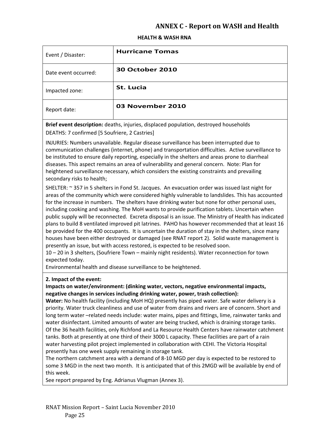## **ANNEX C Report on WASH and Health**

### **HEALTH & WASH RNA**

| Event / Disaster:    | <b>Hurricane Tomas</b> |
|----------------------|------------------------|
| Date event occurred: | <b>30 October 2010</b> |
| Impacted zone:       | St. Lucia              |
| Report date:         | 03 November 2010       |

**Brief event description:** deaths, injuries, displaced population, destroyed households DEATHS: 7 confirmed [5 Soufriere, 2 Castries]

INJURIES: Numbers unavailable. Regular disease surveillance has been interrupted due to communication challenges (internet, phone) and transportation difficulties. Active surveillance to be instituted to ensure daily reporting, especially in the shelters and areas prone to diarrheal diseases. This aspect remains an area of vulnerability and general concern. Note: Plan for heightened surveillance necessary, which considers the existing constraints and prevailing secondary risks to health;

SHELTER: ~ 357 in 5 shelters in Fond St. Jacques. An evacuation order was issued last night for areas of the community which were considered highly vulnerable to landslides. This has accounted for the increase in numbers. The shelters have drinking water but none for other personal uses, including cooking and washing. The MoH wants to provide purification tablets. Uncertain when public supply will be reconnected. Excreta disposal is an issue. The Ministry of Health has indicated plans to build 8 ventilated improved pit latrines. PAHO has however recommended that at least 16 be provided for the 400 occupants. It is uncertain the duration of stay in the shelters, since many houses have been either destroyed or damaged (see RNAT report 2). Solid waste management is presently an issue, but with access restored, is expected to be resolved soon.

10 – 20 in 3 shelters, (Soufriere Town – mainly night residents). Water reconnection for town expected today.

Environmental health and disease surveillance to be heightened.

### **2. Impact of the event:**

### **Impacts on water/environment: (dinking water, vectors, negative environmental impacts, negative changes in services including drinking water, power, trash collection):**

**Water:** No health facility (including MoH HQ) presently has piped water. Safe water delivery is a priority. Water truck cleanliness and use of water from drains and rivers are of concern. Short and long term water –related needs include: water mains, pipes and fittings, lime, rainwater tanks and water disinfectant. Limited amounts of water are being trucked, which is draining storage tanks. Of the 36 health facilities, only Richfond and La Resource Health Centers have rainwater catchment tanks. Both at presently at one third of their 3000 L capacity. These facilities are part of a rain water harvesting pilot project implemented in collaboration with CEHI. The Victoria Hospital presently has one week supply remaining in storage tank.

The northern catchment area with a demand of 8‐10 MGD per day is expected to be restored to some 3 MGD in the next two month. It is anticipated that of this 2MGD will be available by end of this week.

See report prepared by Eng. Adrianus Vlugman (Annex 3).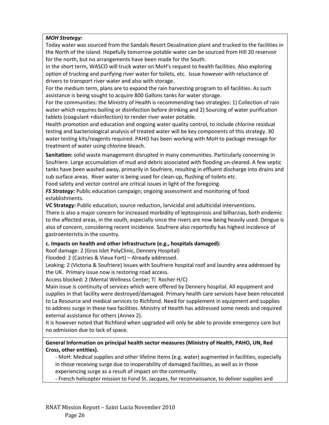### *MOH Strategy:*

Today water was sourced from the Sandals Resort Desalination plant and trucked to the facilities in the North of the island. Hopefully tomorrow potable water can be sourced from Hill 20 reservoir for the north, but no arrangements have been made for the South.

In the short term, WASCO will truck water on MoH's request to health facilities. Also exploring option of trucking and purifying river water for toilets, etc. Issue however with reluctance of drivers to transport river water and also with storage.

For the medium term, plans are to expand the rain harvesting program to all facilities. As such assistance is being sought to acquire 800 Gallons tanks for water storage.

For the communities: the Ministry of Health is recommending two strategies: 1) Collection of rain water which requires boiling or disinfection before drinking and 2) Sourcing of water purification tablets (coagulant +disinfection) to render river water potable.

Health promotion and education and ongoing water quality control, to include chlorine residual testing and bacteriological analysis of treated water will be key components of this strategy. 30 water testing kits/reagents required. PAHO has been working with MoH to package message for treatment of water using chlorine bleach.

**Sanitation:** solid waste management disrupted in many communities. Particularly concerning in Soufriere. Large accumulation of mud and debris associated with flooding un‐cleared. A few septic tanks have been washed away, primarily in Soufriere, resulting in effluent discharge into drains and sub surface areas. River water is being used for clean-up, flushing of toilets etc.

Food safety and vector control are critical issues in light of the foregoing.

*FS Strategy:* Public education campaign; ongoing assessment and monitoring of food establishments.

**VC Strategy:** Public education, source reduction, larvicidal and adulticidal interventions.

There is also a major concern for increased morbidity of leptospirosis and bilharzias, both endemic to the affected areas, in the south, especially since the rivers are now being heavily used. Dengue is also of concern, considering recent incidence. Soufriere also reportedly has highest incidence of gastroenteristis in the country.

### **c. Impacts on health and other infrastructure (e.g., hospitals damaged):**

Roof damage: 2 (Gros Islet PolyClinic, Dennery Hospital)

Flooded: 2 (Castries & Vieux Fort) – Already addressed.

Leaking: 2 (Victoria & Soufriere) Issues with Soufriere hospital roof and laundry area addressed by the UK. Primary issue now is restoring road access.

Access blocked: 2 (Mental Wellness Center; Ti Rocher H/C)

Main issue is continuity of services which were offered by Dennery hospital. All equipment and supplies in that facility were destroyed/damaged. Primary health care services have been relocated to La Resource and medical services to Richfond. Need for supplement in equipment and supplies to address surge in these two facilities. Ministry of Health has addressed some needs and required external assistance for others (Annex 2).

It is however noted that Richfond when upgraded will only be able to provide emergency care but no admission due to lack of space.

### **General Information on principal health sector measures (Ministry of Health, PAHO, UN, Red Cross, other entities).**

‐ MoH: Medical supplies and other lifeline items (e.g. water) augmented in facilities, especially in those receiving surge due to inoperability of damaged facilities, as well as in those experiencing surge as a result of impact on the community.

‐ French helicopter mission to Fond St. Jacques, for reconnaissance, to deliver supplies and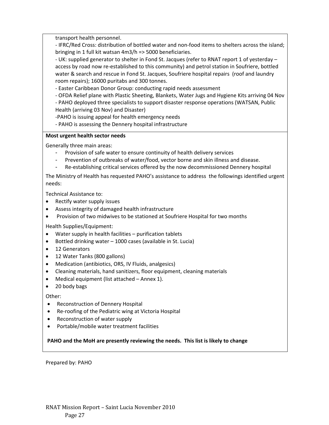transport health personnel.

‐ IFRC/Red Cross: distribution of bottled water and non‐food items to shelters across the island; bringing in 1 full kit watsan 4m3/h => 5000 beneficiaries.

‐ UK: supplied generator to shelter in Fond St. Jacques (refer to RNAT report 1 of yesterday – access by road now re‐established to this community) and petrol station in Soufriere, bottled water & search and rescue in Fond St. Jacques, Soufriere hospital repairs (roof and laundry room repairs); 16000 puritabs and 300 tonnes.

‐ Easter Caribbean Donor Group: conducting rapid needs assessment

‐ OFDA Relief plane with Plastic Sheeting, Blankets, Water Jugs and Hygiene Kits arriving 04 Nov

‐ PAHO deployed three specialists to support disaster response operations (WATSAN, Public Health (arriving 03 Nov) and Disaster)

‐PAHO is issuing appeal for health emergency needs

‐ PAHO is assessing the Dennery hospital infrastructure

### **Most urgent health sector needs**

Generally three main areas:

- Provision of safe water to ensure continuity of health delivery services
- Prevention of outbreaks of water/food, vector borne and skin illness and disease.
- Re-establishing critical services offered by the now decommissioned Dennery hospital

The Ministry of Health has requested PAHO's assistance to address the followings identified urgent needs:

Technical Assistance to:

- Rectify water supply issues
- Assess integrity of damaged health infrastructure
- Provision of two midwives to be stationed at Soufriere Hospital for two months

Health Supplies/Equipment:

- Water supply in health facilities purification tablets
- Bottled drinking water 1000 cases (available in St. Lucia)
- 12 Generators
- 12 Water Tanks (800 gallons)
- Medication (antibiotics, ORS, IV Fluids, analgesics)
- Cleaning materials, hand sanitizers, floor equipment, cleaning materials
- Medical equipment (list attached Annex 1).
- 20 body bags

Other:

- Reconstruction of Dennery Hospital
- Re-roofing of the Pediatric wing at Victoria Hospital
- Reconstruction of water supply
- Portable/mobile water treatment facilities

**PAHO and the MoH are presently reviewing the needs. This list is likely to change**

Prepared by: PAHO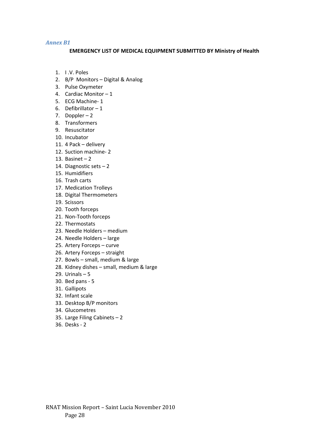### *Annex B1*

### **EMERGENCY LIST OF MEDICAL EQUIPMENT SUBMITTED BY Ministry of Health**

- 1. I .V. Poles
- 2. B/P Monitors Digital & Analog
- 3. Pulse Oxymeter
- 4. Cardiac Monitor 1
- 5. ECG Machine-1
- 6. Defibrillator 1
- 7. Doppler 2
- 8. Transformers
- 9. Resuscitator
- 10. Incubator
- 11. 4 Pack delivery
- 12. Suction machine‐ 2
- 13. Basinet 2
- 14. Diagnostic sets 2
- 15. Humidifiers
- 16. Trash carts
- 17. Medication Trolleys
- 18. Digital Thermometers
- 19. Scissors
- 20. Tooth forceps
- 21. Non‐Tooth forceps
- 22. Thermostats
- 23. Needle Holders medium
- 24. Needle Holders large
- 25. Artery Forceps curve
- 26. Artery Forceps straight
- 27. Bowls small, medium & large
- 28. Kidney dishes small, medium & large
- 29. Urinals 5
- 30. Bed pans ‐ 5
- 31. Gallipots
- 32. Infant scale
- 33. Desktop B/P monitors
- 34. Glucometres
- 35. Large Filing Cabinets 2
- 36. Desks ‐ 2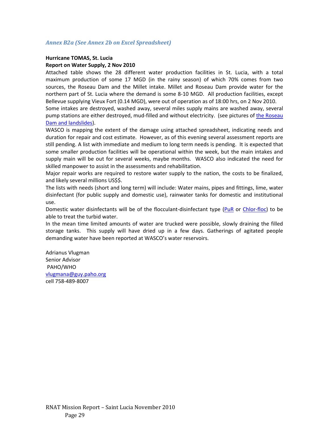### *Annex B2a (See Annex 2b on Excel Spreadsheet)*

### **Hurricane TOMAS, St. Lucia Report on Water Supply, 2 Nov 2010**

Attached table shows the 28 different water production facilities in St. Lucia, with a total maximum production of some 17 MGD (in the rainy season) of which 70% comes from two sources, the Roseau Dam and the Millet intake. Millet and Roseau Dam provide water for the northern part of St. Lucia where the demand is some 8‐10 MGD. All production facilities, except Bellevue supplying Vieux Fort (0.14 MGD), were out of operation as of 18:00 hrs, on 2 Nov 2010.

Some intakes are destroyed, washed away, several miles supply mains are washed away, several pump stations are either destroyed, mud-filled and without electricity. (see pictures of the Roseau Dam and landslides).

WASCO is mapping the extent of the damage using attached spreadsheet, indicating needs and duration for repair and cost estimate. However, as of this evening several assessment reports are still pending. A list with immediate and medium to long term needs is pending. It is expected that some smaller production facilities will be operational within the week, but the main intakes and supply main will be out for several weeks, maybe months. WASCO also indicated the need for skilled manpower to assist in the assessments and rehabilitation.

Major repair works are required to restore water supply to the nation, the costs to be finalized, and likely several millions US\$\$.

The lists with needs (short and long term) will include: Water mains, pipes and fittings, lime, water disinfectant (for public supply and domestic use), rainwater tanks for domestic and institutional use.

Domestic water disinfectants will be of the flocculant-disinfectant type (PuR or Chlor-floc) to be able to treat the turbid water.

In the mean time limited amounts of water are trucked were possible, slowly draining the filled storage tanks. This supply will have dried up in a few days. Gatherings of agitated people demanding water have been reported at WASCO's water reservoirs.

Adrianus Vlugman Senior Advisor PAHO/WHO vlugmana@guy.paho.org cell 758‐489‐8007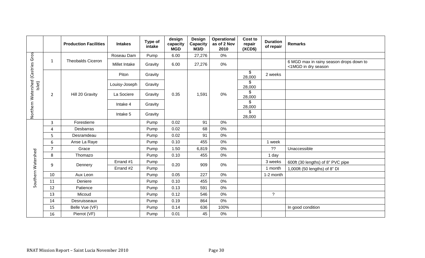|                                   |                | <b>Production Facilities</b> | <b>Intakes</b> | Type of<br>intake | design<br>capacity<br><b>MGD</b> | Design<br>Capacity<br>M3/D | Operational<br>as of 2 Nov<br>2010 | <b>Cost to</b><br>repair<br>(XCD\$) | <b>Duration</b><br>of repair | <b>Remarks</b>                                                 |
|-----------------------------------|----------------|------------------------------|----------------|-------------------|----------------------------------|----------------------------|------------------------------------|-------------------------------------|------------------------------|----------------------------------------------------------------|
|                                   |                |                              | Roseau Dam     | Pump              | 6.00                             | 27,276                     | 0%                                 |                                     |                              |                                                                |
| Northern Watershed (Castries Gros | 1              | <b>Theobalds Ciceron</b>     | Millet Intake  | Gravity           | 6.00                             | 27,276                     | 0%                                 |                                     |                              | 6 MGD max in rainy season drops down to<br><1MGD in dry season |
|                                   |                |                              | Piton          | Gravity           |                                  |                            |                                    | \$<br>28,000                        | 2 weeks                      |                                                                |
| Islet)                            |                |                              | Louisy-Joseph  | Gravity           |                                  |                            |                                    | \$<br>28,000                        |                              |                                                                |
|                                   | $\overline{2}$ | Hill 20 Gravity              | La Sociere     | Gravity           | 0.35                             | 1,591                      | 0%                                 | \$<br>28,000                        |                              |                                                                |
|                                   |                |                              | Intake 4       | Gravity           |                                  |                            |                                    | \$<br>28,000                        |                              |                                                                |
|                                   |                |                              | Intake 5       | Gravity           |                                  |                            |                                    | \$<br>28,000                        |                              |                                                                |
|                                   | $\overline{3}$ | Forestierre                  |                | Pump              | 0.02                             | 91                         | 0%                                 |                                     |                              |                                                                |
|                                   | $\overline{4}$ | Desbarras                    |                | Pump              | 0.02                             | 68                         | 0%                                 |                                     |                              |                                                                |
|                                   | 5              | Desramdeau                   |                | Pump              | 0.02                             | 91                         | 0%                                 |                                     |                              |                                                                |
|                                   | 6              | Anse La Raye                 |                | Pump              | 0.10                             | 455                        | 0%                                 |                                     | 1 week                       |                                                                |
|                                   | $\overline{7}$ | Grace                        |                | Pump              | 1.50                             | 6,819                      | 0%                                 |                                     | ??                           | Unaccessible                                                   |
| Southern Watershed                | 8              | Thomazo                      |                | Pump              | 0.10                             | 455                        | 0%                                 |                                     | 1 day                        |                                                                |
|                                   |                | 9<br>Dennery                 | Errand #1      | Pump              | 0.20                             | 909                        | 0%                                 |                                     | 3 weeks                      | 600ft (30 lengths) of 8" PVC pipe                              |
|                                   |                |                              | Errand #2      | Pump              |                                  |                            |                                    |                                     | 1 month                      | 1,000ft (50 lengths) of 8" DI                                  |
|                                   | 10             | Aux Leon                     |                | Pump              | 0.05                             | 227                        | 0%                                 |                                     | 1-2 month                    |                                                                |
|                                   | 11             | Deniere                      |                | Pump              | 0.10                             | 455                        | 0%                                 |                                     |                              |                                                                |
|                                   | 12             | Patience                     |                | Pump              | 0.13                             | 591                        | 0%                                 |                                     |                              |                                                                |
|                                   | 13             | Micoud                       |                | Pump              | 0.12                             | 546                        | 0%                                 |                                     | $\tilde{?}$                  |                                                                |
|                                   | 14             | Desruisseaux                 |                | Pump              | 0.19                             | 864                        | 0%                                 |                                     |                              |                                                                |
|                                   | 15             | Belle Vue (VF)               |                | Pump              | 0.14                             | 636                        | 100%                               |                                     |                              | In good condition                                              |
|                                   | 16             | Pierrot (VF)                 |                | Pump              | 0.01                             | 45                         | 0%                                 |                                     |                              |                                                                |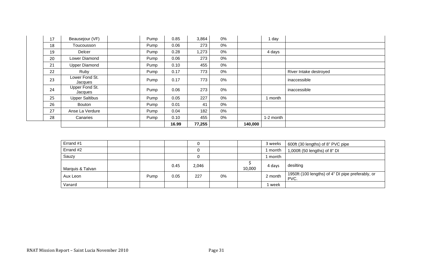| 17 | Beausejour (VF)           | Pump | 0.85  | 3,864  | 0% |         | day       |                        |
|----|---------------------------|------|-------|--------|----|---------|-----------|------------------------|
| 18 | Toucousson                | Pump | 0.06  | 273    | 0% |         |           |                        |
| 19 | Delcer                    | Pump | 0.28  | 1,273  | 0% |         | 4 days    |                        |
| 20 | Lower Diamond             | Pump | 0.06  | 273    | 0% |         |           |                        |
| 21 | <b>Upper Diamond</b>      | Pump | 0.10  | 455    | 0% |         |           |                        |
| 22 | Ruby                      | Pump | 0.17  | 773    | 0% |         |           | River Intake destroyed |
| 23 | Lower Fond St.<br>Jacques | Pump | 0.17  | 773    | 0% |         |           | inaccessible           |
| 24 | Upper Fond St.<br>Jacques | Pump | 0.06  | 273    | 0% |         |           | inaccessible           |
| 25 | <b>Upper Saltibus</b>     | Pump | 0.05  | 227    | 0% |         | 1 month   |                        |
| 26 | Bouton                    | Pump | 0.01  | 41     | 0% |         |           |                        |
| 27 | Anse La Verdure           | Pump | 0.04  | 182    | 0% |         |           |                        |
| 28 | Canaries                  | Pump | 0.10  | 455    | 0% |         | 1-2 month |                        |
|    |                           |      | 16.99 | 77,255 |    | 140,000 |           |                        |

| Errand #1        |      |      |       |       |        | 3 weeks | 600ft (30 lengths) of 8" PVC pipe                         |
|------------------|------|------|-------|-------|--------|---------|-----------------------------------------------------------|
| Errand #2        |      |      |       |       |        | 1 month | 1,000ft (50 lengths) of 8" DI                             |
| Sauzy            |      |      |       |       |        | 1 month |                                                           |
| Marquis & Talvan |      | 0.45 | 2,046 |       | 10,000 | 4 davs  | desilting                                                 |
| Aux Leon         | Pump | 0.05 | 227   | $0\%$ |        | 2 month | 1950ft (100 lengths) of 4" DI pipe preferably, or<br>PVC. |
| Vanard           |      |      |       |       |        | 1 week  |                                                           |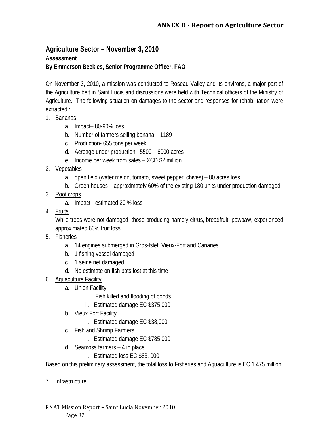## **Agriculture Sector – November 3, 2010 Assessment By Emmerson Beckles, Senior Programme Officer, FAO**

On November 3, 2010, a mission was conducted to Roseau Valley and its environs, a major part of the Agriculture belt in Saint Lucia and discussions were held with Technical officers of the Ministry of Agriculture. The following situation on damages to the sector and responses for rehabilitation were extracted :

- 1. Bananas
	- a. Impact– 80-90% loss
	- b. Number of farmers selling banana 1189
	- c. Production- 655 tons per week
	- d. Acreage under production– 5500 6000 acres
	- e. Income per week from sales XCD \$2 million
- 2. Vegetables
	- a. open field (water melon, tomato, sweet pepper, chives) 80 acres loss
	- b. Green houses approximately 60% of the existing 180 units under production damaged
- 3. Root crops
	- a. Impact estimated 20 % loss
- 4. Fruits

While trees were not damaged, those producing namely citrus, breadfruit, pawpaw, experienced approximated 60% fruit loss.

- 5. Fisheries
	- a. 14 engines submerged in Gros-Islet, Vieux-Fort and Canaries
	- b. 1 fishing vessel damaged
	- c. 1 seine net damaged
	- d. No estimate on fish pots lost at this time
- 6. Aquaculture Facility
	- a. Union Facility
		- i. Fish killed and flooding of ponds
		- ii. Estimated damage EC \$375,000
	- b. Vieux Fort Facility
		- i. Estimated damage EC \$38,000
	- c. Fish and Shrimp Farmers
		- i. Estimated damage EC \$785,000
	- d. Seamoss farmers 4 in place
		- i. Estimated loss EC \$83, 000

Based on this preliminary assessment, the total loss to Fisheries and Aquaculture is EC 1.475 million.

7. Infrastructure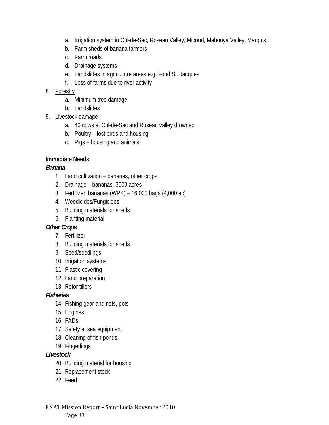- a. Irrigation system in Cul-de-Sac, Roseau Valley, Micoud, Mabouya Valley, Marquis
- b. Farm sheds of banana farmers
- c. Farm roads
- d. Drainage systems
- e. Landslides in agriculture areas e.g. Fond St. Jacques
- f. Loss of farms due to river activity

## 8. Forestry

- a. Minimum tree damage
- b. Landslides
- 9. Livestock damage
	- a. 40 cows at Cul-de-Sac and Roseau valley drowned
	- b. Poultry lost birds and housing
	- c. Pigs housing and animals

## **Immediate Needs**

## *Banana*

- 1. Land cultivation bananas, other crops
- 2. Drainage bananas, 3000 acres
- 3. Fertilizer, bananas (WPK) 16,000 bags (4,000 ac)
- 4. Weedicides/Fungicides
- 5. Building materials for sheds
- 6. Planting material

## *Other Crops*

- 7. Fertilizer
- 8. Building materials for sheds
- 9. Seed/seedlings
- 10. Irrigation systems
- 11. Plastic covering
- 12. Land preparation
- 13. Rotor tillers

## *Fisheries*

- 14. Fishing gear and nets, pots
- 15. Engines
- 16. FADs
- 17. Safety at sea equipment
- 18. Cleaning of fish ponds
- 19. Fingerlings

## *Livestock*

- 20. Building material for housing
- 21. Replacement stock
- 22. Feed